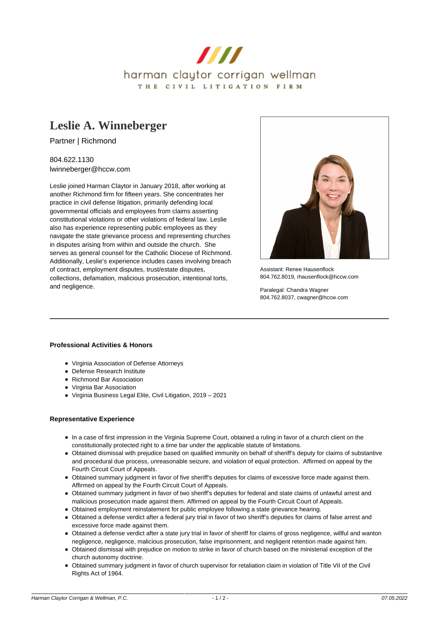

# **[Leslie A. Winneberger](https://www.hccw.com/attorney/leslie-a-winneberger/)**

Partner | Richmond

804.622.1130 lwinneberger@hccw.com

Leslie joined Harman Claytor in January 2018, after working at another Richmond firm for fifteen years. She concentrates her practice in civil defense litigation, primarily defending local governmental officials and employees from claims asserting constitutional violations or other violations of federal law. Leslie also has experience representing public employees as they navigate the state grievance process and representing churches in disputes arising from within and outside the church. She serves as general counsel for the Catholic Diocese of Richmond. Additionally, Leslie's experience includes cases involving breach of contract, employment disputes, trust/estate disputes, collections, defamation, malicious prosecution, intentional torts, and negligence.



Assistant: Renee Hausenflock 804.762.8019, rhausenflock@hccw.com

Paralegal: Chandra Wagner 804.762.8037, cwagner@hccw.com

#### **Professional Activities & Honors**

- Virginia Association of Defense Attorneys
- Defense Research Institute
- Richmond Bar Association
- Virginia Bar Association
- Virginia Business Legal Elite, Civil Litigation, 2019 2021

#### **Representative Experience**

- In a case of first impression in the Virginia Supreme Court, obtained a ruling in favor of a church client on the constitutionally protected right to a time bar under the applicable statute of limitations.
- Obtained dismissal with prejudice based on qualified immunity on behalf of sheriff's deputy for claims of substantive and procedural due process, unreasonable seizure, and violation of equal protection. Affirmed on appeal by the Fourth Circuit Court of Appeals.
- Obtained summary judgment in favor of five sheriff's deputies for claims of excessive force made against them. Affirmed on appeal by the Fourth Circuit Court of Appeals.
- Obtained summary judgment in favor of two sheriff's deputies for federal and state claims of unlawful arrest and malicious prosecution made against them. Affirmed on appeal by the Fourth Circuit Court of Appeals.
- Obtained employment reinstatement for public employee following a state grievance hearing.
- Obtained a defense verdict after a federal jury trial in favor of two sheriff's deputies for claims of false arrest and excessive force made against them.
- Obtained a defense verdict after a state jury trial in favor of sheriff for claims of gross negligence, willful and wanton negligence, negligence, malicious prosecution, false imprisonment, and negligent retention made against him.
- Obtained dismissal with prejudice on motion to strike in favor of church based on the ministerial exception of the church autonomy doctrine.
- Obtained summary judgment in favor of church supervisor for retaliation claim in violation of Title VII of the Civil Rights Act of 1964.